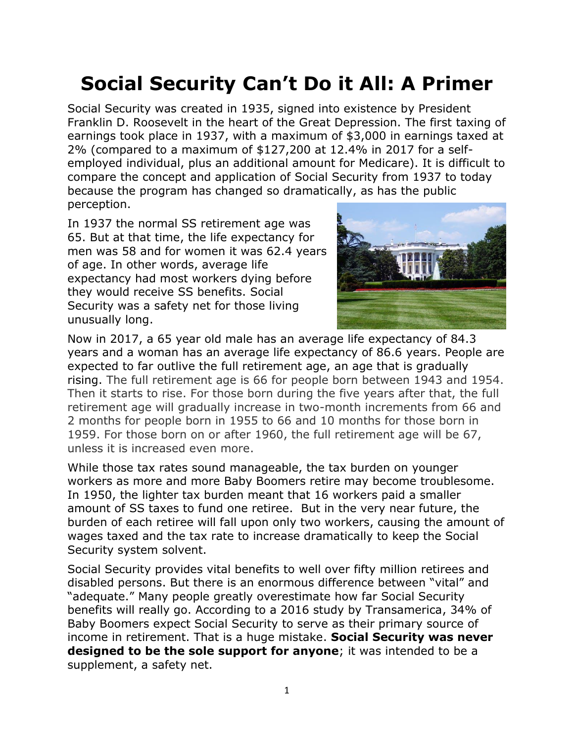## **Social Security Can't Do it All: A Primer**

Social Security was created in 1935, signed into existence by President Franklin D. Roosevelt in the heart of the Great Depression. The first taxing of earnings took place in 1937, with a maximum of \$3,000 in earnings taxed at 2% (compared to a maximum of \$127,200 at 12.4% in 2017 for a selfemployed individual, plus an additional amount for Medicare). It is difficult to compare the concept and application of Social Security from 1937 to today because the program has changed so dramatically, as has the public perception.

In 1937 the normal SS retirement age was 65. But at that time, the life expectancy for men was 58 and for women it was 62.4 years of age. In other words, average life expectancy had most workers dying before they would receive SS benefits. Social Security was a safety net for those living unusually long.



Now in 2017, a 65 year old male has an average life expectancy of 84.3 years and a woman has an average life expectancy of 86.6 years. People are expected to far outlive the full retirement age, an age that is gradually rising. The full retirement age is 66 for people born between 1943 and 1954. Then it starts to rise. For those born during the five years after that, the full retirement age will gradually increase in two-month increments from 66 and 2 months for people born in 1955 to 66 and 10 months for those born in 1959. For those born on or after 1960, the full retirement age will be 67, unless it is increased even more.

While those tax rates sound manageable, the tax burden on younger workers as more and more Baby Boomers retire may become troublesome. In 1950, the lighter tax burden meant that 16 workers paid a smaller amount of SS taxes to fund one retiree. But in the very near future, the burden of each retiree will fall upon only two workers, causing the amount of wages taxed and the tax rate to increase dramatically to keep the Social Security system solvent.

Social Security provides vital benefits to well over fifty million retirees and disabled persons. But there is an enormous difference between "vital" and "adequate." Many people greatly overestimate how far Social Security benefits will really go. According to a 2016 study by Transamerica, 34% of Baby Boomers expect Social Security to serve as their primary source of income in retirement. That is a huge mistake. **Social Security was never designed to be the sole support for anyone**; it was intended to be a supplement, a safety net.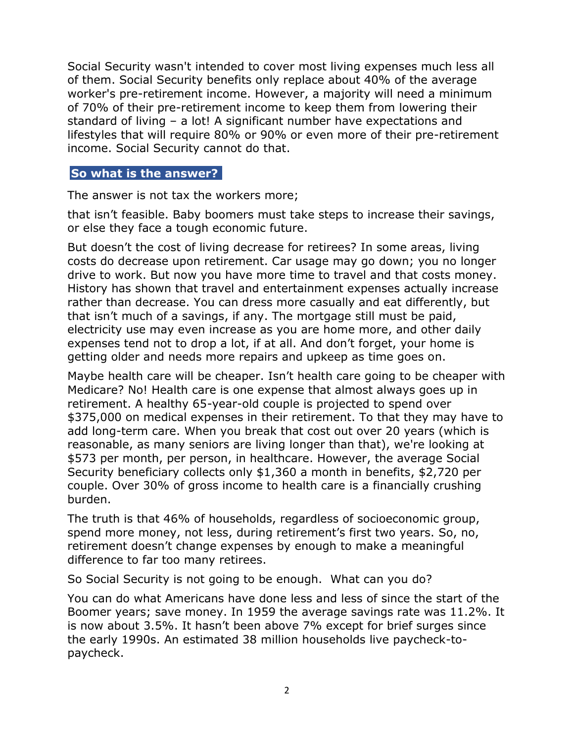Social Security wasn't intended to cover most living expenses much less all of them. Social Security benefits only replace about 40% of the average worker's pre-retirement income. However, a majority will need a minimum of 70% of their pre-retirement income to keep them from lowering their standard of living – a lot! A significant number have expectations and lifestyles that will require 80% or 90% or even more of their pre-retirement income. Social Security cannot do that.

## **So what is the answer?**

The answer is not tax the workers more;

that isn't feasible. Baby boomers must take steps to increase their savings, or else they face a tough economic future.

But doesn't the cost of living decrease for retirees? In some areas, living costs do decrease upon retirement. Car usage may go down; you no longer drive to work. But now you have more time to travel and that costs money. History has shown that travel and entertainment expenses actually increase rather than decrease. You can dress more casually and eat differently, but that isn't much of a savings, if any. The mortgage still must be paid, electricity use may even increase as you are home more, and other daily expenses tend not to drop a lot, if at all. And don't forget, your home is getting older and needs more repairs and upkeep as time goes on.

Maybe health care will be cheaper. Isn't health care going to be cheaper with Medicare? No! Health care is one expense that almost always goes up in retirement. A healthy 65-year-old couple is projected to spend over \$375,000 on medical expenses in their retirement. To that they may have to add long-term care. When you break that cost out over 20 years (which is reasonable, as many seniors are living longer than that), we're looking at \$573 per month, per person, in healthcare. However, the average Social Security beneficiary collects only \$1,360 a month in benefits, \$2,720 per couple. Over 30% of gross income to health care is a financially crushing burden.

The truth is that 46% of households, regardless of socioeconomic group, spend more money, not less, during retirement's first two years. So, no, retirement doesn't change expenses by enough to make a meaningful difference to far too many retirees.

So Social Security is not going to be enough. What can you do?

You can do what Americans have done less and less of since the start of the Boomer years; save money. In 1959 the average savings rate was 11.2%. It is now about 3.5%. It hasn't been above 7% except for brief surges since the early 1990s. An estimated 38 million households live paycheck-topaycheck.